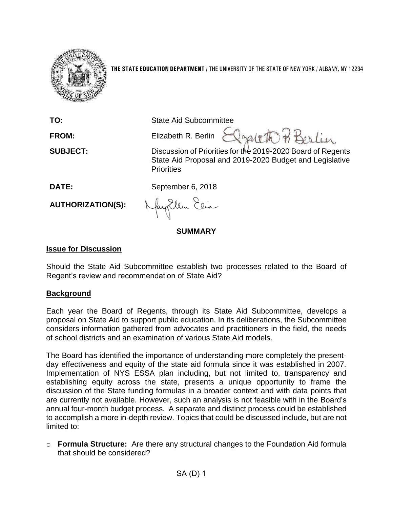

**THE STATE EDUCATION DEPARTMENT** / THE UNIVERSITY OF THE STATE OF NEW YORK / ALBANY, NY 12234

**TO:** State Aid Subcommittee Irabth BBorlin **FROM:** Elizabeth R. Berlin **SUBJECT:** Discussion of Priorities for the 2019-2020 Board of Regents State Aid Proposal and 2019-2020 Budget and Legislative **Priorities DATE:** September 6, 2018 **AUTHORIZATION(S):**

**SUMMARY**

## **Issue for Discussion**

Should the State Aid Subcommittee establish two processes related to the Board of Regent's review and recommendation of State Aid?

### **Background**

Each year the Board of Regents, through its State Aid Subcommittee, develops a proposal on State Aid to support public education. In its deliberations, the Subcommittee considers information gathered from advocates and practitioners in the field, the needs of school districts and an examination of various State Aid models.

The Board has identified the importance of understanding more completely the presentday effectiveness and equity of the state aid formula since it was established in 2007. Implementation of NYS ESSA plan including, but not limited to, transparency and establishing equity across the state, presents a unique opportunity to frame the discussion of the State funding formulas in a broader context and with data points that are currently not available. However, such an analysis is not feasible with in the Board's annual four-month budget process. A separate and distinct process could be established to accomplish a more in-depth review. Topics that could be discussed include, but are not limited to:

o **Formula Structure:** Are there any structural changes to the Foundation Aid formula that should be considered?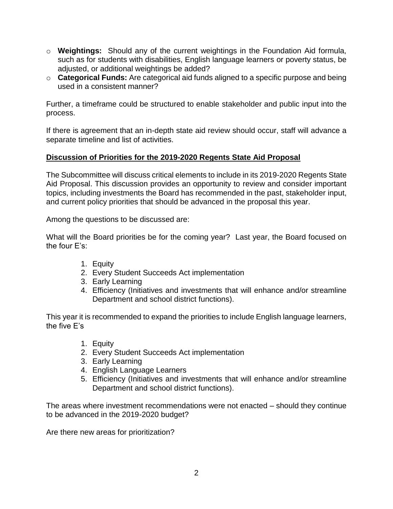- o **Weightings:** Should any of the current weightings in the Foundation Aid formula, such as for students with disabilities, English language learners or poverty status, be adjusted, or additional weightings be added?
- o **Categorical Funds:** Are categorical aid funds aligned to a specific purpose and being used in a consistent manner?

Further, a timeframe could be structured to enable stakeholder and public input into the process.

If there is agreement that an in-depth state aid review should occur, staff will advance a separate timeline and list of activities.

# **Discussion of Priorities for the 2019-2020 Regents State Aid Proposal**

The Subcommittee will discuss critical elements to include in its 2019-2020 Regents State Aid Proposal. This discussion provides an opportunity to review and consider important topics, including investments the Board has recommended in the past, stakeholder input, and current policy priorities that should be advanced in the proposal this year.

Among the questions to be discussed are:

What will the Board priorities be for the coming year? Last year, the Board focused on the four E's:

- 1. Equity
- 2. Every Student Succeeds Act implementation
- 3. Early Learning
- 4. Efficiency (Initiatives and investments that will enhance and/or streamline Department and school district functions).

This year it is recommended to expand the priorities to include English language learners, the five E's

- 1. Equity
- 2. Every Student Succeeds Act implementation
- 3. Early Learning
- 4. English Language Learners
- 5. Efficiency (Initiatives and investments that will enhance and/or streamline Department and school district functions).

The areas where investment recommendations were not enacted – should they continue to be advanced in the 2019-2020 budget?

Are there new areas for prioritization?